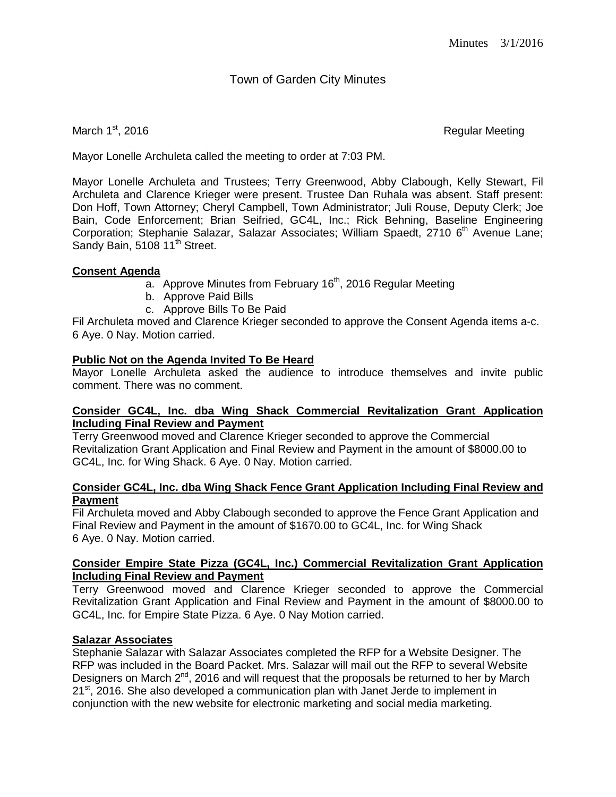# Town of Garden City Minutes

March 1<sup>st</sup>, 2016 **Regular Meeting** 

Mayor Lonelle Archuleta called the meeting to order at 7:03 PM.

Mayor Lonelle Archuleta and Trustees; Terry Greenwood, Abby Clabough, Kelly Stewart, Fil Archuleta and Clarence Krieger were present. Trustee Dan Ruhala was absent. Staff present: Don Hoff, Town Attorney; Cheryl Campbell, Town Administrator; Juli Rouse, Deputy Clerk; Joe Bain, Code Enforcement; Brian Seifried, GC4L, Inc.; Rick Behning, Baseline Engineering Corporation; Stephanie Salazar, Salazar Associates; William Spaedt, 2710 6<sup>th</sup> Avenue Lane; Sandy Bain, 5108 11<sup>th</sup> Street.

# **Consent Agenda**

- $\overline{a}$ . Approve Minutes from February 16<sup>th</sup>, 2016 Regular Meeting
- b. Approve Paid Bills
- c. Approve Bills To Be Paid

Fil Archuleta moved and Clarence Krieger seconded to approve the Consent Agenda items a-c. 6 Aye. 0 Nay. Motion carried.

# **Public Not on the Agenda Invited To Be Heard**

Mayor Lonelle Archuleta asked the audience to introduce themselves and invite public comment. There was no comment.

#### **Consider GC4L, Inc. dba Wing Shack Commercial Revitalization Grant Application Including Final Review and Payment**

Terry Greenwood moved and Clarence Krieger seconded to approve the Commercial Revitalization Grant Application and Final Review and Payment in the amount of \$8000.00 to GC4L, Inc. for Wing Shack. 6 Aye. 0 Nay. Motion carried.

#### **Consider GC4L, Inc. dba Wing Shack Fence Grant Application Including Final Review and Payment**

Fil Archuleta moved and Abby Clabough seconded to approve the Fence Grant Application and Final Review and Payment in the amount of \$1670.00 to GC4L, Inc. for Wing Shack 6 Aye. 0 Nay. Motion carried.

#### **Consider Empire State Pizza (GC4L, Inc.) Commercial Revitalization Grant Application Including Final Review and Payment**

Terry Greenwood moved and Clarence Krieger seconded to approve the Commercial Revitalization Grant Application and Final Review and Payment in the amount of \$8000.00 to GC4L, Inc. for Empire State Pizza. 6 Aye. 0 Nay Motion carried.

# **Salazar Associates**

Stephanie Salazar with Salazar Associates completed the RFP for a Website Designer. The RFP was included in the Board Packet. Mrs. Salazar will mail out the RFP to several Website Designers on March  $2^{nd}$ , 2016 and will request that the proposals be returned to her by March 21<sup>st</sup>, 2016. She also developed a communication plan with Janet Jerde to implement in conjunction with the new website for electronic marketing and social media marketing.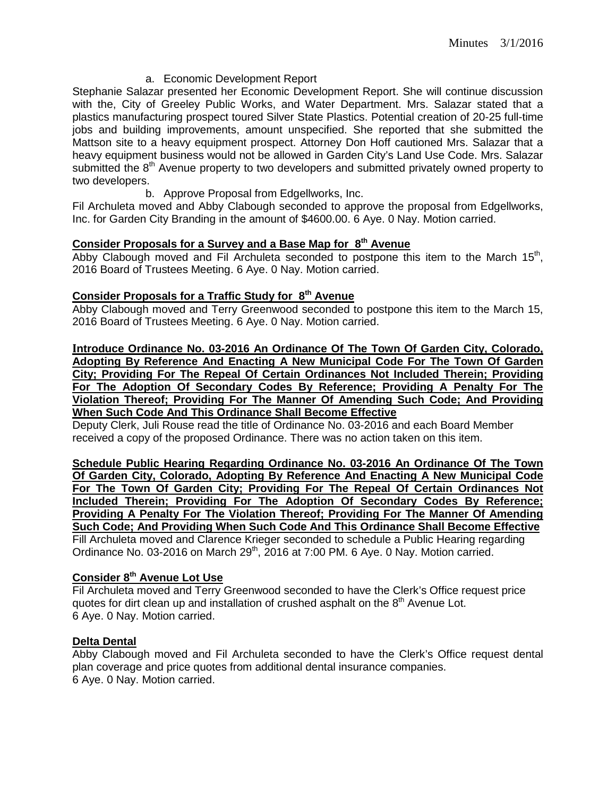# a. Economic Development Report

Stephanie Salazar presented her Economic Development Report. She will continue discussion with the, City of Greeley Public Works, and Water Department. Mrs. Salazar stated that a plastics manufacturing prospect toured Silver State Plastics. Potential creation of 20-25 full-time jobs and building improvements, amount unspecified. She reported that she submitted the Mattson site to a heavy equipment prospect. Attorney Don Hoff cautioned Mrs. Salazar that a heavy equipment business would not be allowed in Garden City's Land Use Code. Mrs. Salazar submitted the  $8<sup>th</sup>$  Avenue property to two developers and submitted privately owned property to two developers.

b. Approve Proposal from Edgellworks, Inc.

Fil Archuleta moved and Abby Clabough seconded to approve the proposal from Edgellworks, Inc. for Garden City Branding in the amount of \$4600.00. 6 Aye. 0 Nay. Motion carried.

# **Consider Proposals for a Survey and a Base Map for 8th Avenue**

Abby Clabough moved and Fil Archuleta seconded to postpone this item to the March  $15<sup>th</sup>$ , 2016 Board of Trustees Meeting. 6 Aye. 0 Nay. Motion carried.

# **Consider Proposals for a Traffic Study for 8th Avenue**

Abby Clabough moved and Terry Greenwood seconded to postpone this item to the March 15, 2016 Board of Trustees Meeting. 6 Aye. 0 Nay. Motion carried.

**Introduce Ordinance No. 03-2016 An Ordinance Of The Town Of Garden City, Colorado, Adopting By Reference And Enacting A New Municipal Code For The Town Of Garden City; Providing For The Repeal Of Certain Ordinances Not Included Therein; Providing For The Adoption Of Secondary Codes By Reference; Providing A Penalty For The Violation Thereof; Providing For The Manner Of Amending Such Code; And Providing When Such Code And This Ordinance Shall Become Effective**

Deputy Clerk, Juli Rouse read the title of Ordinance No. 03-2016 and each Board Member received a copy of the proposed Ordinance. There was no action taken on this item.

**Schedule Public Hearing Regarding Ordinance No. 03-2016 An Ordinance Of The Town Of Garden City, Colorado, Adopting By Reference And Enacting A New Municipal Code For The Town Of Garden City; Providing For The Repeal Of Certain Ordinances Not Included Therein; Providing For The Adoption Of Secondary Codes By Reference; Providing A Penalty For The Violation Thereof; Providing For The Manner Of Amending Such Code; And Providing When Such Code And This Ordinance Shall Become Effective**

Fill Archuleta moved and Clarence Krieger seconded to schedule a Public Hearing regarding Ordinance No. 03-2016 on March  $29<sup>th</sup>$ , 2016 at 7:00 PM. 6 Aye. 0 Nay. Motion carried.

# **Consider 8th Avenue Lot Use**

Fil Archuleta moved and Terry Greenwood seconded to have the Clerk's Office request price quotes for dirt clean up and installation of crushed asphalt on the  $8<sup>th</sup>$  Avenue Lot. 6 Aye. 0 Nay. Motion carried.

#### **Delta Dental**

Abby Clabough moved and Fil Archuleta seconded to have the Clerk's Office request dental plan coverage and price quotes from additional dental insurance companies. 6 Aye. 0 Nay. Motion carried.